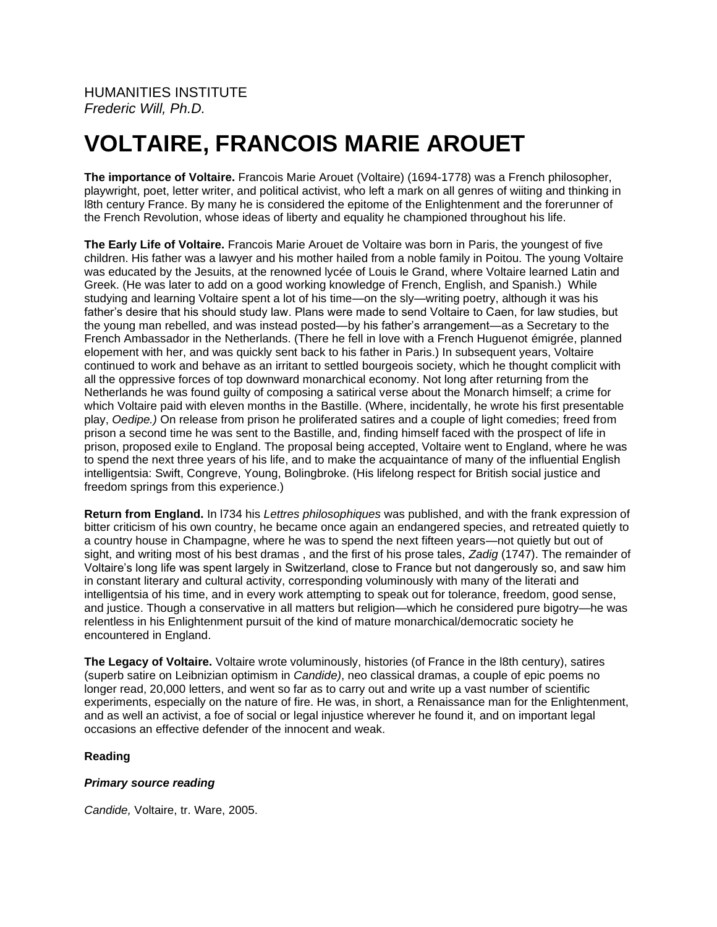# **VOLTAIRE, FRANCOIS MARIE AROUET**

**The importance of Voltaire.** Francois Marie Arouet (Voltaire) (1694-1778) was a French philosopher, playwright, poet, letter writer, and political activist, who left a mark on all genres of wiiting and thinking in l8th century France. By many he is considered the epitome of the Enlightenment and the forerunner of the French Revolution, whose ideas of liberty and equality he championed throughout his life.

**The Early Life of Voltaire.** Francois Marie Arouet de Voltaire was born in Paris, the youngest of five children. His father was a lawyer and his mother hailed from a noble family in Poitou. The young Voltaire was educated by the Jesuits, at the renowned lycée of Louis le Grand, where Voltaire learned Latin and Greek. (He was later to add on a good working knowledge of French, English, and Spanish.) While studying and learning Voltaire spent a lot of his time—on the sly—writing poetry, although it was his father's desire that his should study law. Plans were made to send Voltaire to Caen, for law studies, but the young man rebelled, and was instead posted—by his father's arrangement—as a Secretary to the French Ambassador in the Netherlands. (There he fell in love with a French Huguenot émigrée, planned elopement with her, and was quickly sent back to his father in Paris.) In subsequent years, Voltaire continued to work and behave as an irritant to settled bourgeois society, which he thought complicit with all the oppressive forces of top downward monarchical economy. Not long after returning from the Netherlands he was found guilty of composing a satirical verse about the Monarch himself; a crime for which Voltaire paid with eleven months in the Bastille. (Where, incidentally, he wrote his first presentable play, *Oedipe.)* On release from prison he proliferated satires and a couple of light comedies; freed from prison a second time he was sent to the Bastille, and, finding himself faced with the prospect of life in prison, proposed exile to England. The proposal being accepted, Voltaire went to England, where he was to spend the next three years of his life, and to make the acquaintance of many of the influential English intelligentsia: Swift, Congreve, Young, Bolingbroke. (His lifelong respect for British social justice and freedom springs from this experience.)

**Return from England.** In l734 his *Lettres philosophiques* was published, and with the frank expression of bitter criticism of his own country, he became once again an endangered species, and retreated quietly to a country house in Champagne, where he was to spend the next fifteen years—not quietly but out of sight, and writing most of his best dramas , and the first of his prose tales, *Zadig* (1747). The remainder of Voltaire's long life was spent largely in Switzerland, close to France but not dangerously so, and saw him in constant literary and cultural activity, corresponding voluminously with many of the literati and intelligentsia of his time, and in every work attempting to speak out for tolerance, freedom, good sense, and justice. Though a conservative in all matters but religion—which he considered pure bigotry—he was relentless in his Enlightenment pursuit of the kind of mature monarchical/democratic society he encountered in England.

**The Legacy of Voltaire.** Voltaire wrote voluminously, histories (of France in the l8th century), satires (superb satire on Leibnizian optimism in *Candide)*, neo classical dramas, a couple of epic poems no longer read, 20,000 letters, and went so far as to carry out and write up a vast number of scientific experiments, especially on the nature of fire. He was, in short, a Renaissance man for the Enlightenment, and as well an activist, a foe of social or legal injustice wherever he found it, and on important legal occasions an effective defender of the innocent and weak.

## **Reading**

## *Primary source reading*

*Candide,* Voltaire, tr. Ware, 2005.